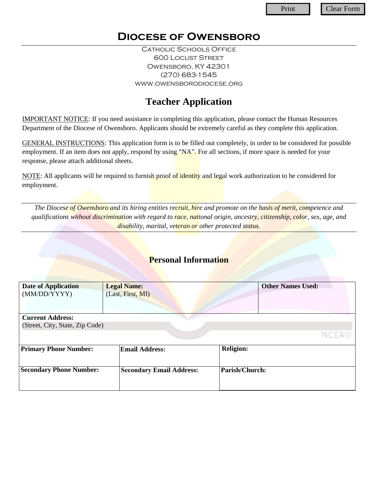## **Diocese of Owensboro**

Catholic Schools Office 600 Locust Street Owensboro, KY 42301 (270) 683-1545 www.owensborodiocese.org

# **Teacher Application**

IMPORTANT NOTICE: If you need assistance in completing this application, please contact the Human Resources Department of the Diocese of Owensboro. Applicants should be extremely careful as they complete this application.

GENERAL INSTRUCTIONS: This application form is to be filled out completely, in order to be considered for possible employment. If an item does not apply, respond by using "NA". For all sections, if more space is needed for your response, please attach additional sheets.

NOTE: All applicants will be required to furnish proof of identity and legal work authorization to be considered for employment.

*The Diocese of Owensboro and its hiring entities recruit, hire and promote on the basis of merit, competence and qualifications without discrimination with regard to race, national origin, ancestry, citizenship, color, sex, age, and disability, marital, veteran or other protected status.*

### **Personal Information**

| <b>Date of Application</b>      | <b>Legal Name:</b>              | <b>Other Names Used:</b> |
|---------------------------------|---------------------------------|--------------------------|
| (MM/DD/YYYY)                    | (Last, First, MI)               |                          |
|                                 |                                 |                          |
|                                 |                                 |                          |
| <b>Current Address:</b>         |                                 |                          |
| (Street, City, State, Zip Code) |                                 |                          |
|                                 |                                 | <b>NCEA©</b>             |
| <b>Primary Phone Number:</b>    | <b>Email Address:</b>           | <b>Religion:</b>         |
|                                 |                                 |                          |
|                                 |                                 |                          |
| <b>Secondary Phone Number:</b>  | <b>Secondary Email Address:</b> | Parish/Church:           |
|                                 |                                 |                          |
|                                 |                                 |                          |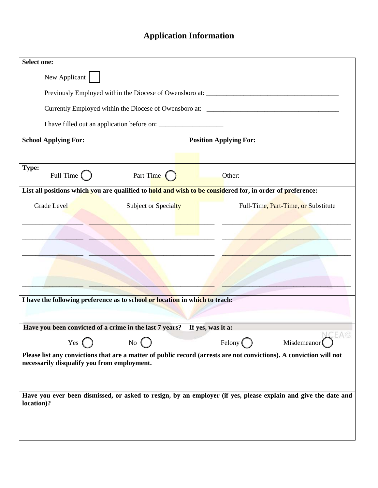# **Application Information**

| <b>Select one:</b>                                                                                                                                                 |                                                                                                                |
|--------------------------------------------------------------------------------------------------------------------------------------------------------------------|----------------------------------------------------------------------------------------------------------------|
| New Applicant                                                                                                                                                      |                                                                                                                |
| Previously Employed within the Diocese of Owensboro at: _________________________                                                                                  |                                                                                                                |
|                                                                                                                                                                    |                                                                                                                |
|                                                                                                                                                                    |                                                                                                                |
| <b>School Applying For:</b>                                                                                                                                        | <b>Position Applying For:</b>                                                                                  |
| Type:<br>Full-Time (<br>Part-Time (                                                                                                                                | Other:                                                                                                         |
| List all positions which you are qualified to hold and wish to be considered for, in order of preference:                                                          |                                                                                                                |
| <b>Grade Level</b><br>Subject or Specialty                                                                                                                         | Full-Time, Part-Time, or Substitute                                                                            |
|                                                                                                                                                                    |                                                                                                                |
|                                                                                                                                                                    |                                                                                                                |
|                                                                                                                                                                    |                                                                                                                |
|                                                                                                                                                                    |                                                                                                                |
|                                                                                                                                                                    |                                                                                                                |
| I have the following preference as to school or location in which to teach:                                                                                        |                                                                                                                |
|                                                                                                                                                                    |                                                                                                                |
| Have you been convicted of a crime in the last 7 years?                                                                                                            | If yes, was it a:<br>EA©                                                                                       |
| Yes $\left($<br>$\overline{N_0}$                                                                                                                                   | Misdemeanor<br>Felony (                                                                                        |
| Please list any convictions that are a matter of public record (arrests are not convictions). A conviction will not<br>necessarily disqualify you from employment. |                                                                                                                |
|                                                                                                                                                                    |                                                                                                                |
|                                                                                                                                                                    |                                                                                                                |
| location)?                                                                                                                                                         | Have you ever been dismissed, or asked to resign, by an employer (if yes, please explain and give the date and |
|                                                                                                                                                                    |                                                                                                                |
|                                                                                                                                                                    |                                                                                                                |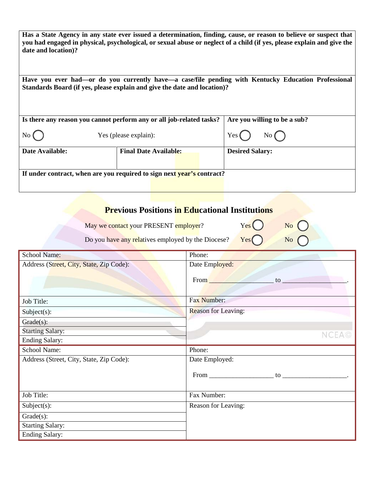| Has a State Agency in any state ever issued a determination, finding, cause, or reason to believe or suspect that<br>you had engaged in physical, psychological, or sexual abuse or neglect of a child (if yes, please explain and give the<br>date and location)? |
|--------------------------------------------------------------------------------------------------------------------------------------------------------------------------------------------------------------------------------------------------------------------|
| Have you ever had—or do you currently have—a case/file pending with Kentucky Education Professional<br>Standards Board (if yes, please explain and give the date and location)?                                                                                    |

|                                             | Is there any reason you cannot perform any or all job-related tasks?   | Are you willing to be a sub? |  |
|---------------------------------------------|------------------------------------------------------------------------|------------------------------|--|
| $\overline{N_{0}}$<br>Yes (please explain): |                                                                        | Yes(<br>No( )                |  |
| Date Available:                             | <b>Final Date Available:</b>                                           | <b>Desired Salary:</b>       |  |
|                                             |                                                                        |                              |  |
|                                             | If under contract, when are you required to sign next year's contract? |                              |  |
|                                             |                                                                        |                              |  |

### **Previous Positions in Educational Institutions**

May we contact your PRESENT employer? Yes

| No |  |
|----|--|
|    |  |

Do you have any relatives employed by the Diocese? Yes No (

| <b>School Name:</b>                              | Phone:                                                                                                                                                                                                                                                                                                   |  |
|--------------------------------------------------|----------------------------------------------------------------------------------------------------------------------------------------------------------------------------------------------------------------------------------------------------------------------------------------------------------|--|
| Address (Street, City, State, Zip Code):         | Date Employed:                                                                                                                                                                                                                                                                                           |  |
|                                                  | From<br>$\frac{1}{2}$ to $\frac{1}{2}$ to $\frac{1}{2}$ to $\frac{1}{2}$ to $\frac{1}{2}$ to $\frac{1}{2}$ to $\frac{1}{2}$ to $\frac{1}{2}$ to $\frac{1}{2}$ to $\frac{1}{2}$ to $\frac{1}{2}$ to $\frac{1}{2}$ to $\frac{1}{2}$ to $\frac{1}{2}$ to $\frac{1}{2}$ to $\frac{1}{2}$ to $\frac{1}{2}$ to |  |
| Job Title:                                       | Fax Number:                                                                                                                                                                                                                                                                                              |  |
| $Subject(s)$ :                                   | <b>Reason for Leaving:</b>                                                                                                                                                                                                                                                                               |  |
| $Grade(s)$ :                                     |                                                                                                                                                                                                                                                                                                          |  |
| <b>Starting Salary:</b>                          | NCEA©                                                                                                                                                                                                                                                                                                    |  |
| <b>Ending Salary:</b>                            |                                                                                                                                                                                                                                                                                                          |  |
|                                                  |                                                                                                                                                                                                                                                                                                          |  |
| School Name:                                     | Phone:                                                                                                                                                                                                                                                                                                   |  |
| Address (Street, City, State, Zip Code):         | Date Employed:                                                                                                                                                                                                                                                                                           |  |
|                                                  |                                                                                                                                                                                                                                                                                                          |  |
| Job Title:                                       | Fax Number:                                                                                                                                                                                                                                                                                              |  |
| $Subject(s)$ :                                   | Reason for Leaving:                                                                                                                                                                                                                                                                                      |  |
| $Grade(s)$ :                                     |                                                                                                                                                                                                                                                                                                          |  |
| <b>Starting Salary:</b><br><b>Ending Salary:</b> |                                                                                                                                                                                                                                                                                                          |  |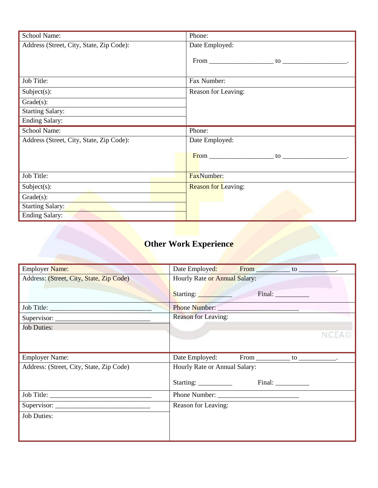| School Name:                             | Phone:                     |
|------------------------------------------|----------------------------|
| Address (Street, City, State, Zip Code): | Date Employed:             |
|                                          |                            |
|                                          |                            |
|                                          |                            |
| Job Title:                               | Fax Number:                |
| $Subject(s)$ :                           | Reason for Leaving:        |
| $Grade(s)$ :                             |                            |
| <b>Starting Salary:</b>                  |                            |
| <b>Ending Salary:</b>                    |                            |
| School Name:                             | Phone:                     |
| Address (Street, City, State, Zip Code): | Date Employed:             |
|                                          |                            |
|                                          |                            |
|                                          |                            |
| Job Title:                               | FaxNumber:                 |
| $Subject(s)$ :                           | <b>Reason for Leaving:</b> |
| $Grade(s)$ :                             |                            |
| <b>Starting Salary:</b>                  |                            |
| <b>Ending Salary:</b>                    |                            |

# **Other Work Experience**

| Employer Name:                           |                                                            |  |  |
|------------------------------------------|------------------------------------------------------------|--|--|
| Address: (Street, City, State, Zip Code) | Hourly Rate or Annual Salary:                              |  |  |
|                                          | Final: Final:<br>Starting: Starting:                       |  |  |
| Job Title:                               |                                                            |  |  |
|                                          | <b>Reason for Leaving:</b>                                 |  |  |
| <b>Job Duties:</b>                       |                                                            |  |  |
|                                          |                                                            |  |  |
|                                          |                                                            |  |  |
|                                          |                                                            |  |  |
| <b>Employer Name:</b>                    | Date Employed:<br>From _________________ to _____________. |  |  |
| Address: (Street, City, State, Zip Code) | Hourly Rate or Annual Salary:                              |  |  |
|                                          |                                                            |  |  |
|                                          |                                                            |  |  |
|                                          | Reason for Leaving:                                        |  |  |
| <b>Job Duties:</b>                       |                                                            |  |  |
|                                          |                                                            |  |  |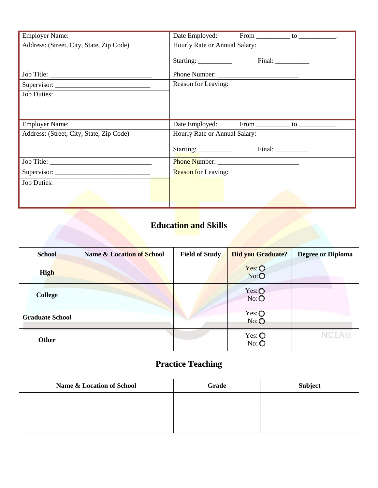| <b>Employer Name:</b>                    | Date Employed:<br>From _______________ to _____________.    |  |  |
|------------------------------------------|-------------------------------------------------------------|--|--|
| Address: (Street, City, State, Zip Code) | Hourly Rate or Annual Salary:                               |  |  |
|                                          |                                                             |  |  |
|                                          | Phone Number:                                               |  |  |
|                                          | Reason for Leaving:                                         |  |  |
| <b>Job Duties:</b>                       |                                                             |  |  |
|                                          |                                                             |  |  |
|                                          |                                                             |  |  |
| <b>Employer Name:</b>                    | Date Employed:<br>From _________________ to ______________. |  |  |
| Address: (Street, City, State, Zip Code) | Hourly Rate or Annual Salary:                               |  |  |
|                                          |                                                             |  |  |
|                                          |                                                             |  |  |
|                                          | <b>Reason for Leaving:</b>                                  |  |  |
| <b>Job Duties:</b>                       |                                                             |  |  |
|                                          |                                                             |  |  |

### **Education and Skills**

| <b>School</b>          | Name & Location of School | <b>Field of Study</b> | <b>Did you Graduate?</b>    | <b>Degree or Diploma</b> |
|------------------------|---------------------------|-----------------------|-----------------------------|--------------------------|
| High                   |                           |                       | $Yes: \bigcircNo:O$         |                          |
| <b>College</b>         |                           |                       | $Yes: \bigcircNo: \bigcirc$ |                          |
| <b>Graduate School</b> |                           |                       | $Yes: \bigcircNo: \bigcirc$ |                          |
| <b>Other</b>           |                           |                       | $Yes: \bigcircNo: \bigcirc$ | NCEA©                    |

# **Practice Teaching**

| <b>Name &amp; Location of School</b> | Grade | <b>Subject</b> |
|--------------------------------------|-------|----------------|
|                                      |       |                |
|                                      |       |                |
|                                      |       |                |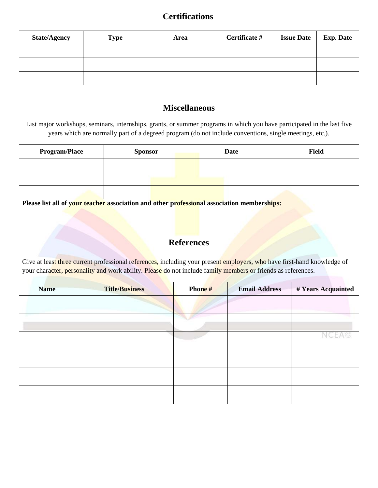#### **Certifications**

| <b>State/Agency</b> | <b>Type</b> | Area | Certificate # | <b>Issue Date</b> | <b>Exp. Date</b> |
|---------------------|-------------|------|---------------|-------------------|------------------|
|                     |             |      |               |                   |                  |
|                     |             |      |               |                   |                  |
|                     |             |      |               |                   |                  |

### **Miscellaneous**

List major workshops, seminars, internships, grants, or summer programs in which you have participated in the last five years which are normally part of a degreed program (do not include conventions, single meetings, etc.).

| <b>Program/Place</b>                                                                        | <b>Sponsor</b> |  |  | Date | <b>Field</b> |  |
|---------------------------------------------------------------------------------------------|----------------|--|--|------|--------------|--|
|                                                                                             |                |  |  |      |              |  |
|                                                                                             |                |  |  |      |              |  |
|                                                                                             |                |  |  |      |              |  |
| Please list all of your teacher association and other professional association memberships: |                |  |  |      |              |  |
|                                                                                             |                |  |  |      |              |  |

### **References**

Give at least three current professional references, including your present employers, who have first-hand knowledge of your character, personality and work ability. Please do not include family members or friends as references.

| <b>Name</b> | <b>Title/Business</b> | Phone# | <b>Email Address</b> | # Years Acquainted |
|-------------|-----------------------|--------|----------------------|--------------------|
|             |                       |        |                      |                    |
|             |                       |        |                      |                    |
|             |                       |        |                      |                    |
|             |                       |        |                      |                    |
|             |                       |        |                      |                    |
|             |                       |        |                      |                    |